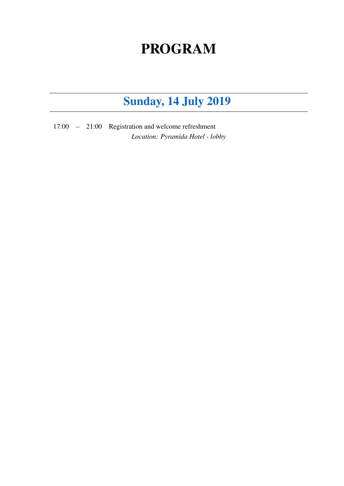#### PROGRAM

#### Sunday, 14 July 2019

17:00 – 21:00 Registration and welcome refreshment *Location: Pyramida Hotel - lobby*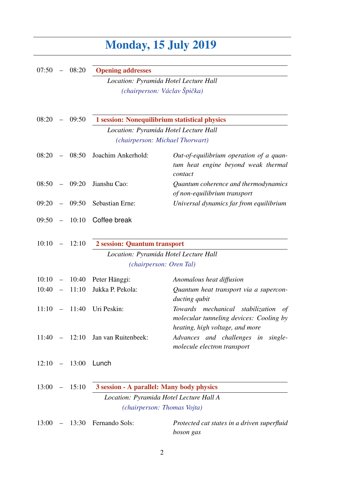## Monday, 15 July 2019

| 07:50     |                          | 08:20           | <b>Opening addresses</b>                      |                                                                                                                      |  |
|-----------|--------------------------|-----------------|-----------------------------------------------|----------------------------------------------------------------------------------------------------------------------|--|
|           |                          |                 | Location: Pyramida Hotel Lecture Hall         |                                                                                                                      |  |
|           |                          |                 | (chairperson: Václav Špička)                  |                                                                                                                      |  |
| 08:20     |                          | 09:50           | 1 session: Nonequilibrium statistical physics |                                                                                                                      |  |
|           |                          |                 | Location: Pyramida Hotel Lecture Hall         |                                                                                                                      |  |
|           |                          |                 | (chairperson: Michael Thorwart)               |                                                                                                                      |  |
| 08:20     | $\overline{\phantom{0}}$ | 08:50           | Joachim Ankerhold:                            | Out-of-equilibrium operation of a quan-<br>tum heat engine beyond weak thermal<br>contact                            |  |
| 08:50     | $\overline{\phantom{m}}$ | 09:20           | Jianshu Cao:                                  | Quantum coherence and thermodynamics<br>of non-equilibrium transport                                                 |  |
| 09:20     |                          | 09:50           | Sebastian Erne:                               | Universal dynamics far from equilibrium                                                                              |  |
| 09:50     |                          | 10:10           | Coffee break                                  |                                                                                                                      |  |
| 10:10     |                          | 12:10           | 2 session: Quantum transport                  |                                                                                                                      |  |
|           |                          |                 | Location: Pyramida Hotel Lecture Hall         |                                                                                                                      |  |
|           |                          |                 | (chairperson: Oren Tal)                       |                                                                                                                      |  |
| 10:10     | $\overline{\phantom{m}}$ | 10:40           | Peter Hänggi:                                 | Anomalous heat diffusion                                                                                             |  |
| 10:40     | $\overline{\phantom{m}}$ | 11:10           | Jukka P. Pekola:                              | Quantum heat transport via a supercon-<br>ducting qubit                                                              |  |
| 11:10     |                          | 11:40           | Uri Peskin:                                   | Towards mechanical stabilization<br>of<br>molecular tunneling devices: Cooling by<br>heating, high voltage, and more |  |
|           |                          | $11:40 - 12:10$ | Jan van Ruitenbeek:                           | Advances and challenges in<br>single-<br>molecule electron transport                                                 |  |
|           |                          | $12:10 - 13:00$ | Lunch                                         |                                                                                                                      |  |
| $13:00 -$ |                          | 15:10           | 3 session - A parallel: Many body physics     |                                                                                                                      |  |
|           |                          |                 | Location: Pyramida Hotel Lecture Hall A       |                                                                                                                      |  |
|           |                          |                 | (chairperson: Thomas Vojta)                   |                                                                                                                      |  |
| 13:00     | $\overline{\phantom{m}}$ | 13:30           | Fernando Sols:                                | Protected cat states in a driven superfluid<br>boson gas                                                             |  |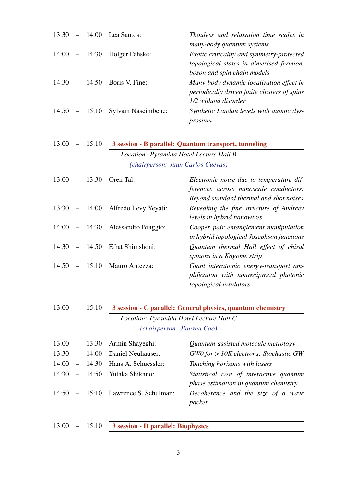| 13:30 | $\frac{1}{2}$     | 14:00           | Lea Santos:                                                                  | Thouless and relaxation time scales in<br>many-body quantum systems                                                          |
|-------|-------------------|-----------------|------------------------------------------------------------------------------|------------------------------------------------------------------------------------------------------------------------------|
|       |                   | $14:00 - 14:30$ | Holger Fehske:                                                               | Exotic criticality and symmetry-protected<br>topological states in dimerised fermion,<br>boson and spin chain models         |
| 14:30 | $-$               | 14:50           | Boris V. Fine:                                                               | Many-body dynamic localization effect in<br>periodically driven finite clusters of spins<br>1/2 without disorder             |
| 14:50 |                   | $-15:10$        | <b>Sylvain Nascimbene:</b>                                                   | Synthetic Landau levels with atomic dys-<br>prosium                                                                          |
| 13:00 |                   | 15:10           |                                                                              | 3 session - B parallel: Quantum transport, tunneling                                                                         |
|       |                   |                 | Location: Pyramida Hotel Lecture Hall B<br>(chairperson: Juan Carlos Cuevas) |                                                                                                                              |
| 13:00 | $\qquad \qquad -$ | 13:30           | Oren Tal:                                                                    | Electronic noise due to temperature dif-<br>ferences across nanoscale conductors:<br>Beyond standard thermal and shot noises |
| 13:30 | $\sim$            | 14:00           | Alfredo Levy Yeyati:                                                         | Revealing the fine structure of Andreev<br>levels in hybrid nanowires                                                        |
|       |                   | $14:00 - 14:30$ | Alessandro Braggio:                                                          | Cooper pair entanglement manipulation<br>in hybrid topological Josephson junctions                                           |
| 14:30 | $\sim$            | 14:50           | Efrat Shimshoni:                                                             | Quantum thermal Hall effect of chiral<br>spinons in a Kagome strip                                                           |
| 14:50 | $-$               | 15:10           | Mauro Antezza:                                                               | Giant interatomic energy-transport am-<br>plification with nonreciprocal photonic<br>topological insulators                  |
| 13:00 |                   | 15:10           |                                                                              | 3 session - C parallel: General physics, quantum chemistry                                                                   |
|       |                   |                 | Location: Pyramida Hotel Lecture Hall C<br>(chairperson: Jianshu Cao)        |                                                                                                                              |
| 13:00 |                   | 13:30           | Armin Shayeghi:                                                              | Quantum-assisted molecule metrology                                                                                          |
| 13:30 |                   | 14:00           | Daniel Neuhauser:                                                            | $GWO$ for $>$ 10K electrons: Stochastic GW                                                                                   |
| 14:00 | $\sim$ $-$        | 14:30           | Hans A. Schuessler:                                                          | Touching horizons with lasers                                                                                                |
| 14:30 | $\equiv$          | 14:50           | Yutaka Shikano:                                                              | Statistical cost of interactive quantum<br>phase estimation in quantum chemistry                                             |
| 14:50 | $\qquad \qquad =$ | 15:10           | Lawrence S. Schulman:                                                        | Decoherence and the size of a wave<br>packet                                                                                 |
|       |                   |                 |                                                                              |                                                                                                                              |

13:00 – 15:10 3 session - D parallel: Biophysics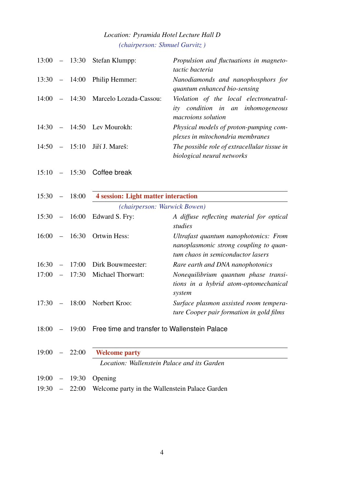#### *Location: Pyramida Hotel Lecture Hall D (chairperson: Shmuel Gurvitz )*

| 13:00 |                          |                 | - 13:30 Stefan Klumpp:                                     | Propulsion and fluctuations in magneto-<br>tactic bacteria                                                           |
|-------|--------------------------|-----------------|------------------------------------------------------------|----------------------------------------------------------------------------------------------------------------------|
| 13:30 |                          | $-14:00$        | Philip Hemmer:                                             | Nanodiamonds and nanophosphors for<br>quantum enhanced bio-sensing                                                   |
| 14:00 |                          | $-14:30$        | Marcelo Lozada-Cassou:                                     | Violation of the local electroneutral-<br>ity condition in an inhomogeneous<br>macroions solution                    |
| 14:30 |                          | $-14:50$        | Lev Mourokh:                                               | Physical models of proton-pumping com-<br>plexes in mitochondria membranes                                           |
| 14:50 | $\equiv$                 | 15:10           | Jiří J. Mareš:                                             | The possible role of extracellular tissue in<br>biological neural networks                                           |
| 15:10 |                          | $-15:30$        | Coffee break                                               |                                                                                                                      |
| 15:30 | $\sim$                   | 18:00           | <b>4 session: Light matter interaction</b>                 |                                                                                                                      |
|       |                          |                 | (chairperson: Warwick Bowen)                               |                                                                                                                      |
| 15:30 | $\equiv$                 | 16:00           | Edward S. Fry:                                             | A diffuse reflecting material for optical<br>studies                                                                 |
| 16:00 | $\sim$                   | 16:30           | Ortwin Hess:                                               | Ultrafast quantum nanophotonics: From<br>nanoplasmonic strong coupling to quan-<br>tum chaos in semiconductor lasers |
| 16:30 | $\overline{\phantom{m}}$ | 17:00           | Dirk Bouwmeester:                                          | Rare earth and DNA nanophotonics                                                                                     |
| 17:00 | $\overline{\phantom{m}}$ | 17:30           | <b>Michael Thorwart:</b>                                   | Nonequilibrium quantum phase transi-<br>tions in a hybrid atom-optomechanical<br>system                              |
| 17:30 | $\qquad \qquad -$        | 18:00           | Norbert Kroo:                                              | Surface plasmon assisted room tempera-<br>ture Cooper pair formation in gold films                                   |
|       |                          |                 | 18:00 - 19:00 Free time and transfer to Wallenstein Palace |                                                                                                                      |
|       |                          | $19:00 - 22:00$ | <b>Welcome party</b>                                       |                                                                                                                      |
|       |                          |                 | Location: Wallenstein Palace and its Garden                |                                                                                                                      |
|       |                          | $19:00 - 19:30$ | Opening                                                    |                                                                                                                      |

19:30 – 22:00 Welcome party in the Wallenstein Palace Garden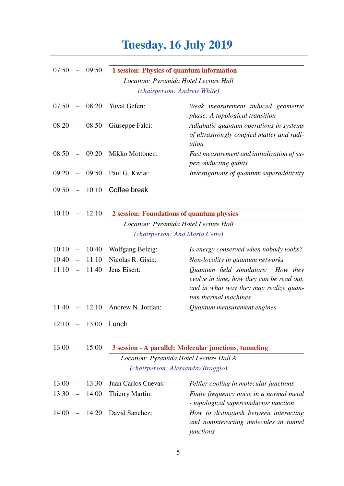## Tuesday, 16 July 2019

| 07:50 | $\overline{\phantom{a}}$ | 09:50    | 1 session: Physics of quantum information |                                                                                                                                                   |
|-------|--------------------------|----------|-------------------------------------------|---------------------------------------------------------------------------------------------------------------------------------------------------|
|       |                          |          | Location: Pyramida Hotel Lecture Hall     |                                                                                                                                                   |
|       |                          |          | (chairperson: Andrew White)               |                                                                                                                                                   |
| 07:50 |                          | $-08:20$ | Yuval Gefen:                              | Weak measurement induced geometric<br>phase: A topological transition                                                                             |
| 08:20 |                          | $-08:50$ | Giuseppe Falci:                           | Adiabatic quantum operations in systems<br>of ultrastrongly coupled matter and radi-<br>ation                                                     |
| 08:50 | $\equiv$                 | 09:20    | Mikko Möttönen:                           | Fast measurement and initialization of su-<br>perconducting qubits                                                                                |
| 09:20 | $\overline{\phantom{m}}$ | 09:50    | Paul G. Kwiat:                            | Investigations of quantum superadditivity                                                                                                         |
| 09:50 | $\equiv$                 | 10:10    | Coffee break                              |                                                                                                                                                   |
| 10:10 |                          | 12:10    | 2 session: Foundations of quantum physics |                                                                                                                                                   |
|       |                          |          | Location: Pyramida Hotel Lecture Hall     |                                                                                                                                                   |
|       |                          |          | (chairperson: Ana María Cetto)            |                                                                                                                                                   |
| 10:10 | $\overline{\phantom{0}}$ | 10:40    | <b>Wolfgang Belzig:</b>                   | Is energy conserved when nobody looks?                                                                                                            |
| 10:40 | $\equiv$                 | 11:10    | Nicolas R. Gisin:                         | Non-locality in quantum networks                                                                                                                  |
| 11:10 | $\overline{\phantom{m}}$ | 11:40    | Jens Eisert:                              | Quantum field simulators: How they<br>evolve in time, how they can be read out,<br>and in what way they may realize quan-<br>tum thermal machines |
| 11:40 |                          | $-12:10$ | Andrew N. Jordan:                         | Quantum measurement engines                                                                                                                       |
|       |                          |          | $12:10 - 13:00$ Lunch                     |                                                                                                                                                   |
| 13:00 |                          | 15:00    |                                           | 3 session - A parallel: Molecular junctions, tunneling                                                                                            |
|       |                          |          | Location: Pyramida Hotel Lecture Hall A   |                                                                                                                                                   |
|       |                          |          | (chairperson: Alessandro Braggio)         |                                                                                                                                                   |
| 13:00 |                          | 13:30    | Juan Carlos Cuevas:                       | Peltier cooling in molecular junctions                                                                                                            |
| 13:30 | $\qquad \qquad -$        | 14:00    | Thierry Martin:                           | Finite frequency noise in a normal metal<br>- topological superconductor junction                                                                 |
| 14:00 |                          | 14:20    | David Sanchez:                            | How to distinguish between interacting<br>and noninteracting molecules in tunnel<br>junctions                                                     |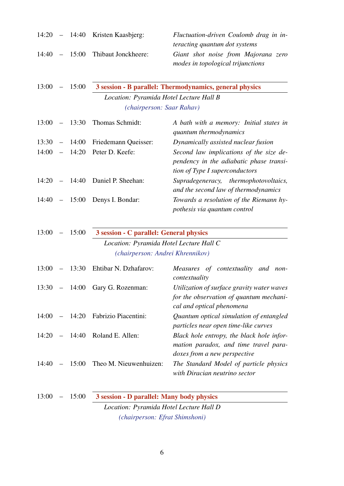|  | $14:20 - 14:40$ Kristen Kaasbjerg:  | Fluctuation-driven Coulomb drag in in-<br><i>teracting quantum dot systems</i> |
|--|-------------------------------------|--------------------------------------------------------------------------------|
|  | $14:40 - 15:00$ Thibaut Jonckheere: | Giant shot noise from Majorana zero<br>modes in topological trijunctions       |

|  | $13:00 - 15:00$ | 3 session - B parallel: Thermodynamics, general physics |
|--|-----------------|---------------------------------------------------------|
|  |                 | Location: Pyramida Hotel Lecture Hall B                 |
|  |                 | <i>(chairperson: Saar Rahav)</i>                        |

| 13:00 |  | $-$ 13:30 Thomas Schmidt:        | A bath with a memory: Initial states in<br>quantum thermodynamics                                                    |
|-------|--|----------------------------------|----------------------------------------------------------------------------------------------------------------------|
| 13:30 |  | - 14:00 Friedemann Queisser:     | Dynamically assisted nuclear fusion                                                                                  |
|       |  | 14:00 - 14:20 Peter D. Keefe:    | Second law implications of the size de-<br>pendency in the adiabatic phase transi-<br>tion of Type I superconductors |
|       |  | 14:20 - 14:40 Daniel P. Sheehan: | Supradegeneracy, thermophotovoltaics,<br>and the second law of thermodynamics                                        |
|       |  | $14:40 - 15:00$ Denys I. Bondar: | Towards a resolution of the Riemann hy-<br>pothesis via quantum control                                              |

|  | $13:00 - 15:00$ | 3 session - C parallel: General physics |  |
|--|-----------------|-----------------------------------------|--|
|  |                 | Location: Pyramida Hotel Lecture Hall C |  |
|  |                 | (chairperson: Andrei Khrennikov)        |  |

| 13:00 |          | - 13:30 Ehtibar N. Dzhafarov: | Measures of contextuality and non-<br>contextuality                                                                |
|-------|----------|-------------------------------|--------------------------------------------------------------------------------------------------------------------|
| 13:30 | $-14:00$ | Gary G. Rozenman:             | Utilization of surface gravity water waves<br>for the observation of quantum mechani-<br>cal and optical phenomena |
| 14(0) | $-14:20$ | <b>Fabrizio Piacentini:</b>   | Quantum optical simulation of entangled<br>particles near open time-like curves                                    |
| 14:20 | $-14:40$ | Roland E. Allen:              | Black hole entropy, the black hole infor-<br>mation paradox, and time travel para-<br>doxes from a new perspective |
| 14:40 | 15:00    | Theo M. Nieuwenhuizen:        | The Standard Model of particle physics<br>with Diracian neutrino sector                                            |

13:00 – 15:00 3 session - D parallel: Many body physics *Location: Pyramida Hotel Lecture Hall D (chairperson: Efrat Shimshoni)*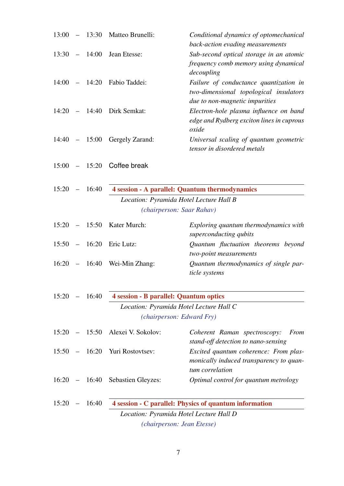|       |                 | $13:00 - 13:30$ Matteo Brunelli:              | Conditional dynamics of optomechanical<br>back-action evading measurements                                         |
|-------|-----------------|-----------------------------------------------|--------------------------------------------------------------------------------------------------------------------|
|       |                 | $13:30 - 14:00$ Jean Etesse:                  | Sub-second optical storage in an atomic<br>frequency comb memory using dynamical<br>decoupling                     |
|       |                 | 14:00 - 14:20 Fabio Taddei:                   | Failure of conductance quantization in<br>two-dimensional topological insulators<br>due to non-magnetic impurities |
|       |                 | 14:20 - 14:40 Dirk Semkat:                    | Electron-hole plasma influence on band<br>edge and Rydberg exciton lines in cuprous<br>oxide                       |
|       |                 | $14:40 - 15:00$ Gergely Zarand:               | Universal scaling of quantum geometric<br>tensor in disordered metals                                              |
|       |                 | $15:00 - 15:20$ Coffee break                  |                                                                                                                    |
|       | $15:20 - 16:40$ |                                               | 4 session - A parallel: Quantum thermodynamics                                                                     |
|       |                 |                                               | Location: Pyramida Hotel Lecture Hall B                                                                            |
|       |                 |                                               | (chairperson: Saar Rahav)                                                                                          |
|       |                 | $15:20 - 15:50$ Kater Murch:                  | Exploring quantum thermodynamics with<br>superconducting qubits                                                    |
|       | $15:50 - 16:20$ | Eric Lutz:                                    | Quantum fluctuation theorems beyond<br>two-point measurements                                                      |
|       |                 | $16:20 - 16:40$ Wei-Min Zhang:                | Quantum thermodynamics of single par-<br>ticle systems                                                             |
|       | $15:20 - 16:40$ | <b>4 session - B parallel: Quantum optics</b> |                                                                                                                    |
|       |                 |                                               | Location: Pyramida Hotel Lecture Hall C                                                                            |
|       |                 |                                               | (chairperson: Edward Fry)                                                                                          |
| 15:20 |                 | - 15:50 Alexei V. Sokolov:                    | Coherent Raman spectroscopy:<br>From<br>stand-off detection to nano-sensing                                        |
|       |                 | $15:50 - 16:20$ Yuri Rostovtsev:              | Excited quantum coherence: From plas-<br>monically induced transparency to quan-<br>tum correlation                |
|       |                 | 16:20 - 16:40 Sebastien Gleyzes:              | Optimal control for quantum metrology                                                                              |
| 15:20 | $-16:40$        |                                               | 4 session - C parallel: Physics of quantum information                                                             |
|       |                 |                                               | Location: Pyramida Hotel Lecture Hall D                                                                            |
|       |                 |                                               | (chairperson: Jean Etesse)                                                                                         |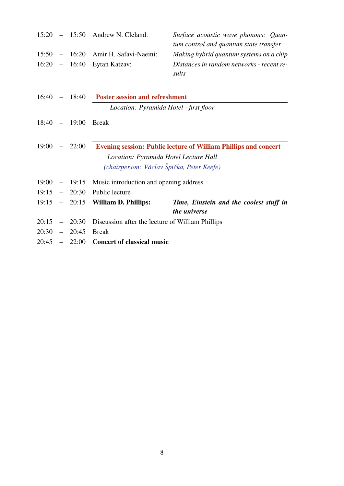|       |                          |                 | $15:20 - 15:50$ Andrew N. Cleland:               | Surface acoustic wave phonons: Quan-<br>tum control and quantum state transfer |
|-------|--------------------------|-----------------|--------------------------------------------------|--------------------------------------------------------------------------------|
|       |                          | $15:50 - 16:20$ | Amir H. Safavi-Naeini:                           | Making hybrid quantum systems on a chip                                        |
|       |                          | $16:20 - 16:40$ | Eytan Katzav:                                    | Distances in random networks - recent re-<br>sults                             |
| 16:40 |                          | $-18:40$        | <b>Poster session and refreshment</b>            |                                                                                |
|       |                          |                 | Location: Pyramida Hotel - first floor           |                                                                                |
|       |                          | $18:40 - 19:00$ | <b>Break</b>                                     |                                                                                |
| 19:00 |                          | $-22:00$        |                                                  | <b>Evening session: Public lecture of William Phillips and concert</b>         |
|       |                          |                 | Location: Pyramida Hotel Lecture Hall            |                                                                                |
|       |                          |                 | (chairperson: Václav Špička, Peter Keefe)        |                                                                                |
| 19:00 |                          | $-19:15$        | Music introduction and opening address           |                                                                                |
| 19:15 |                          | $-20:30$        | Public lecture                                   |                                                                                |
|       |                          | $19:15 - 20:15$ | <b>William D. Phillips:</b>                      | Time, Einstein and the coolest stuff in<br>the universe                        |
| 20:15 |                          | $-20:30$        | Discussion after the lecture of William Phillips |                                                                                |
| 20:30 | $\overline{\phantom{0}}$ | 20:45           | <b>Break</b>                                     |                                                                                |
|       |                          | $20:45 - 22:00$ | <b>Concert of classical music</b>                |                                                                                |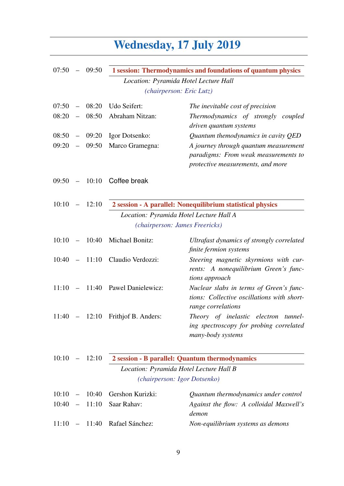# Wednesday, 17 July 2019

| 07:50 | $-$                      | 09:50    | 1 session: Thermodynamics and foundations of quantum physics |                                                                                                                    |
|-------|--------------------------|----------|--------------------------------------------------------------|--------------------------------------------------------------------------------------------------------------------|
|       |                          |          |                                                              | Location: Pyramida Hotel Lecture Hall                                                                              |
|       |                          |          |                                                              | (chairperson: Eric Lutz)                                                                                           |
| 07:50 |                          | 08:20    | Udo Seifert:                                                 | The inevitable cost of precision                                                                                   |
| 08:20 | $\equiv$                 | 08:50    | Abraham Nitzan:                                              | Thermodynamics of strongly coupled<br>driven quantum systems                                                       |
| 08:50 | $\overline{\phantom{m}}$ | 09:20    | Igor Dotsenko:                                               | Quantum themodynamics in cavity QED                                                                                |
| 09:20 | $\overline{\phantom{m}}$ | 09:50    | Marco Gramegna:                                              | A journey through quantum measurement<br>paradigms: From weak measurements to<br>protective measurements, and more |
| 09:50 |                          | $-10:10$ | Coffee break                                                 |                                                                                                                    |
| 10:10 | $\overline{\phantom{m}}$ | 12:10    |                                                              | 2 session - A parallel: Nonequilibrium statistical physics                                                         |
|       |                          |          |                                                              | Location: Pyramida Hotel Lecture Hall A                                                                            |
|       |                          |          |                                                              | (chairperson: James Freericks)                                                                                     |
| 10:10 | $\overline{\phantom{a}}$ | 10:40    | Michael Bonitz:                                              | Ultrafast dynamics of strongly correlated<br>finite fermion systems                                                |
| 10:40 | $\overline{\phantom{0}}$ | 11:10    | Claudio Verdozzi:                                            | Steering magnetic skyrmions with cur-<br>rents: A nonequilibrium Green's func-<br>tions approach                   |
| 11:10 |                          | $-11:40$ | Pawel Danielewicz:                                           | Nuclear slabs in terms of Green's func-<br>tions: Collective oscillations with short-<br>range correlations        |
| 11:40 |                          | $-12:10$ | Frithjof B. Anders:                                          | Theory of inelastic electron tunnel-<br>ing spectroscopy for probing correlated<br>many-body systems               |
| 10:10 | $-$                      | 12:10    |                                                              | 2 session - B parallel: Quantum thermodynamics                                                                     |
|       |                          |          |                                                              | Location: Pyramida Hotel Lecture Hall B                                                                            |
|       |                          |          |                                                              | (chairperson: Igor Dotsenko)                                                                                       |
| 10:10 |                          | 10:40    | Gershon Kurizki:                                             | Quantum thermodynamics under control                                                                               |
| 10:40 |                          | 11:10    | Saar Rahav:                                                  | Against the flow: A colloidal Maxwell's<br>demon                                                                   |
| 11:10 | $\qquad \qquad -$        | 11:40    | Rafael Sánchez:                                              | Non-equilibrium systems as demons                                                                                  |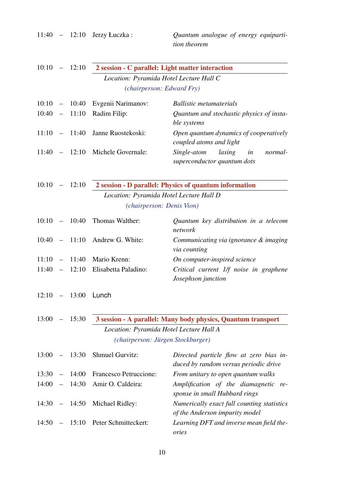11:40 – 12:10 Jerzy Łuczka : *Quantum analogue of energy equipartition theorem* 10:10 – 12:10 2 session - C parallel: Light matter interaction *Location: Pyramida Hotel Lecture Hall C (chairperson: Edward Fry)* 10:10 – 10:40 Evgenii Narimanov: *Ballistic metamaterials* 10:40 – 11:10 Radim Filip: *Quantum and stochastic physics of instable systems* 11:10 – 11:40 Janne Ruostekoski: *Open quantum dynamics of cooperatively coupled atoms and light* 11:40 – 12:10 Michele Governale: *Single-atom lasing in normalsuperconductor quantum dots* 10:10 – 12:10 2 session - D parallel: Physics of quantum information *Location: Pyramida Hotel Lecture Hall D (chairperson: Denis Vion)* 10:10 – 10:40 Thomas Walther: *Quantum key distribution in a telecom network* 10:40 – 11:10 Andrew G. White: *Communicating via ignorance & imaging via counting* 11:10 – 11:40 Mario Krenn: *On computer-inspired science* 11:40 – 12:10 Elisabetta Paladino: *Critical current 1/f noise in graphene Josephson junction* 12:10 – 13:00 Lunch 13:00 – 15:30 3 session - A parallel: Many body physics, Quantum transport *Location: Pyramida Hotel Lecture Hall A (chairperson: Jürgen Stockburger)* 13:00 – 13:30 Shmuel Gurvitz: *Directed particle flow at zero bias induced by random versus periodic drive* 13:30 – 14:00 Francesco Petruccione: *From unitary to open quantum walks* 14:00 – 14:30 Amir O. Caldeira: *Amplification of the diamagnetic response in small Hubbard rings* 14:30 – 14:50 Michael Ridley: *Numerically exact full counting statistics of the Anderson impurity model* 14:50 – 15:10 Peter Schmitteckert: *Learning DFT and inverse mean field theories*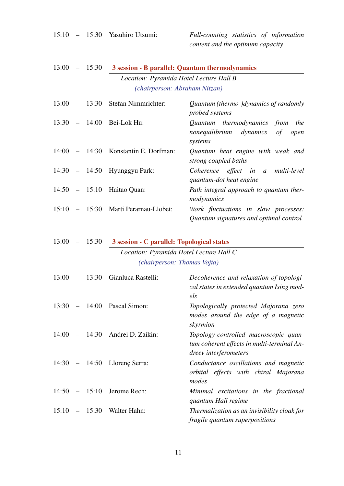|       |                 | 15:10 - 15:30 Yasuhiro Utsumi:             | Full-counting statistics of information<br>content and the optimum capacity                                  |
|-------|-----------------|--------------------------------------------|--------------------------------------------------------------------------------------------------------------|
| 13:00 | $-15:30$        |                                            | 3 session - B parallel: Quantum thermodynamics                                                               |
|       |                 | Location: Pyramida Hotel Lecture Hall B    |                                                                                                              |
|       |                 | (chairperson: Abraham Nitzan)              |                                                                                                              |
| 13:00 | $-13:30$        | Stefan Nimmrichter:                        | Quantum (thermo-)dynamics of randomly<br>probed systems                                                      |
|       | $13:30 - 14:00$ | Bei-Lok Hu:                                | Quantum thermodynamics from<br>the<br>nonequilibrium dynamics<br>of<br>open<br>systems                       |
|       | $14:00 - 14:30$ | Konstantin E. Dorfman:                     | Quantum heat engine with weak and<br>strong coupled baths                                                    |
|       |                 | 14:30 - 14:50 Hyunggyu Park:               | Coherence effect in a multi-level<br>quantum-dot heat engine                                                 |
|       | $14:50 - 15:10$ | Haitao Quan:                               | Path integral approach to quantum ther-<br>modynamics                                                        |
|       |                 | 15:10 - 15:30 Marti Perarnau-Llobet:       | Work fluctuations in slow processes:<br>Quantum signatures and optimal control                               |
| 13:00 | $-15:30$        | 3 session - C parallel: Topological states |                                                                                                              |
|       |                 | Location: Pyramida Hotel Lecture Hall C    |                                                                                                              |
|       |                 | (chairperson: Thomas Vojta)                |                                                                                                              |
| 13:00 | 13:30           | Gianluca Rastelli:                         | Decoherence and relaxation of topologi-<br>cal states in extended quantum Ising mod-<br>els                  |
|       |                 | 13:30 - 14:00 Pascal Simon:                | Topologically protected Majorana zero<br>modes around the edge of a magnetic<br>skyrmion                     |
|       |                 | 14:00 - 14:30 Andrei D. Zaikin:            | Topology-controlled macroscopic quan-<br>tum coherent effects in multi-terminal An-<br>dreev interferometers |
|       |                 | 14:30 - 14:50 Llorenç Serra:               | Conductance oscillations and magnetic<br>orbital effects with chiral Majorana<br>modes                       |
|       |                 | $14:50 - 15:10$ Jerome Rech:               | Minimal excitations in the fractional<br>quantum Hall regime                                                 |
|       |                 | $15:10 - 15:30$ Walter Hahn:               | Thermalization as an invisibility cloak for<br>fragile quantum superpositions                                |

11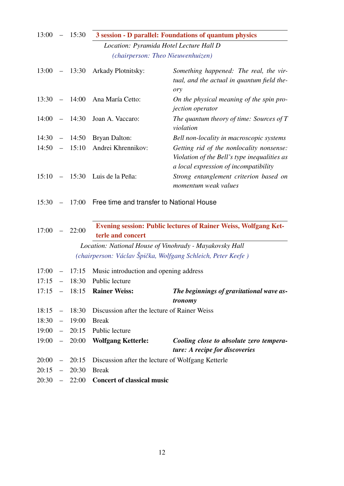| 13:00     |                          | 15:30           | 3 session - D parallel: Foundations of quantum physics |                                                                                                                                   |
|-----------|--------------------------|-----------------|--------------------------------------------------------|-----------------------------------------------------------------------------------------------------------------------------------|
|           |                          |                 |                                                        | Location: Pyramida Hotel Lecture Hall D                                                                                           |
|           |                          |                 |                                                        | (chairperson: Theo Nieuwenhuizen)                                                                                                 |
| 13:00     |                          | $-13:30$        | Arkady Plotnitsky:                                     | Something happened: The real, the vir-<br>tual, and the actual in quantum field the-<br>ory                                       |
| 13:30     |                          | $-14:00$        | Ana María Cetto:                                       | On the physical meaning of the spin pro-<br><i>jection</i> operator                                                               |
|           |                          | $14:00 - 14:30$ | Joan A. Vaccaro:                                       | The quantum theory of time: Sources of $T$<br>violation                                                                           |
| 14:30     | $\overline{\phantom{a}}$ | 14:50           | Bryan Dalton:                                          | Bell non-locality in macroscopic systems                                                                                          |
| 14:50     | $\equiv$                 | 15:10           | Andrei Khrennikov:                                     | Getting rid of the nonlocality nonsense:<br>Violation of the Bell's type inequalities as<br>a local expression of incompatibility |
| 15:10     |                          | $-15:30$        | Luis de la Peña:                                       | Strong entanglement criterion based on<br>momentum weak values                                                                    |
| 15:30     |                          | 17:00           | Free time and transfer to National House               |                                                                                                                                   |
| 17:00     |                          | 22:00           | terle and concert                                      | Evening session: Public lectures of Rainer Weiss, Wolfgang Ket-                                                                   |
|           |                          |                 |                                                        | Location: National House of Vinohrady - Mayakovsky Hall                                                                           |
|           |                          |                 |                                                        | (chairperson: Václav Špička, Wolfgang Schleich, Peter Keefe)                                                                      |
| 17:00     |                          | 17:15           | Music introduction and opening address                 |                                                                                                                                   |
| 17:15     | $-$                      | 18:30           | Public lecture                                         |                                                                                                                                   |
| 17:15     |                          | $-18:15$        | <b>Rainer Weiss:</b>                                   | The beginnings of gravitational wave as-<br>tronomy                                                                               |
| $18:15 -$ |                          | 18:30           | Discussion after the lecture of Rainer Weiss           |                                                                                                                                   |
| $18:30 -$ |                          | 19:00           | <b>Break</b>                                           |                                                                                                                                   |
| $19:00 -$ |                          | 20:15           | Public lecture                                         |                                                                                                                                   |
| 19:00     | $\sim$ $-$               | 20:00           | <b>Wolfgang Ketterle:</b>                              | Cooling close to absolute zero tempera-<br>ture: A recipe for discoveries                                                         |
| $20:00 -$ |                          | 20:15           | Discussion after the lecture of Wolfgang Ketterle      |                                                                                                                                   |
| 20:15     | $\overline{\phantom{a}}$ | 20:30           | <b>Break</b>                                           |                                                                                                                                   |
| $20:30 -$ |                          | 22:00           | <b>Concert of classical music</b>                      |                                                                                                                                   |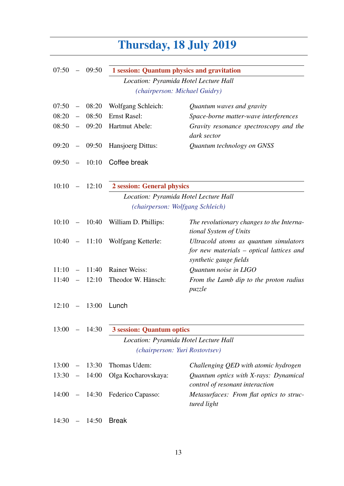# Thursday, 18 July 2019

| 07:50 |                          | 09:50           | 1 session: Quantum physics and gravitation |                                                                                                             |
|-------|--------------------------|-----------------|--------------------------------------------|-------------------------------------------------------------------------------------------------------------|
|       |                          |                 |                                            | Location: Pyramida Hotel Lecture Hall                                                                       |
|       |                          |                 |                                            | (chairperson: Michael Guidry)                                                                               |
| 07:50 | $\overline{\phantom{m}}$ | 08:20           | Wolfgang Schleich:                         | Quantum waves and gravity                                                                                   |
| 08:20 | $\overline{\phantom{m}}$ | 08:50           | <b>Ernst Rasel:</b>                        | Space-borne matter-wave interferences                                                                       |
| 08:50 | $\overline{\phantom{m}}$ | 09:20           | Hartmut Abele:                             | Gravity resonance spectroscopy and the<br>dark sector                                                       |
| 09:20 | $\sim$ $-$               | 09:50           | Hansjoerg Dittus:                          | Quantum technology on GNSS                                                                                  |
| 09:50 | $\sim$                   | 10:10           | Coffee break                               |                                                                                                             |
| 10:10 |                          | $-12:10$        | 2 session: General physics                 |                                                                                                             |
|       |                          |                 |                                            | Location: Pyramida Hotel Lecture Hall                                                                       |
|       |                          |                 |                                            | (chairperson: Wolfgang Schleich)                                                                            |
| 10:10 |                          | $-10:40$        | William D. Phillips:                       | The revolutionary changes to the Interna-<br>tional System of Units                                         |
|       |                          | $10:40 - 11:10$ | Wolfgang Ketterle:                         | Ultracold atoms as quantum simulators<br>for new materials – optical lattices and<br>synthetic gauge fields |
| 11:10 | $\equiv$                 | 11:40           | <b>Rainer Weiss:</b>                       | Quantum noise in LIGO                                                                                       |
| 11:40 | $\equiv$                 | 12:10           | Theodor W. Hänsch:                         | From the Lamb dip to the proton radius<br>puzzle                                                            |
| 12:10 |                          | 13:00           | Lunch                                      |                                                                                                             |
| 13:00 | $\qquad \qquad -$        | 14:30           | <b>3 session: Quantum optics</b>           |                                                                                                             |
|       |                          |                 |                                            | Location: Pyramida Hotel Lecture Hall                                                                       |
|       |                          |                 |                                            | (chairperson: Yuri Rostovtsev)                                                                              |
| 13:00 |                          | 13:30           | Thomas Udem:                               | Challenging QED with atomic hydrogen                                                                        |
| 13:30 | $\overline{\phantom{m}}$ | 14:00           | Olga Kocharovskaya:                        | Quantum optics with X-rays: Dynamical<br>control of resonant interaction                                    |
| 14:00 | $ \,$                    | 14:30           | Federico Capasso:                          | Metasurfaces: From flat optics to struc-<br>tured light                                                     |
| 14:30 |                          | 14:50           | <b>Break</b>                               |                                                                                                             |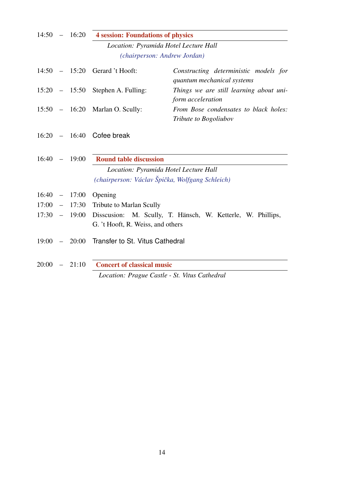| 14:50 |          | $-16:20$        | <b>4 session: Foundations of physics</b>        |                                                                     |
|-------|----------|-----------------|-------------------------------------------------|---------------------------------------------------------------------|
|       |          |                 | Location: Pyramida Hotel Lecture Hall           |                                                                     |
|       |          |                 | (chairperson: Andrew Jordan)                    |                                                                     |
|       |          |                 | $14:50 - 15:20$ Gerard 't Hooft:                | Constructing deterministic models for<br>quantum mechanical systems |
|       |          |                 | $15:20 - 15:50$ Stephen A. Fulling:             | Things we are still learning about uni-<br>form acceleration        |
|       |          | $15:50 - 16:20$ | Marlan O. Scully:                               | From Bose condensates to black holes:<br>Tribute to Bogoliubov      |
|       |          |                 | $16:20 - 16:40$ Cofee break                     |                                                                     |
| 16:40 |          | $-19:00$        | <b>Round table discussion</b>                   |                                                                     |
|       |          |                 | Location: Pyramida Hotel Lecture Hall           |                                                                     |
|       |          |                 | (chairperson: Václav Špička, Wolfgang Schleich) |                                                                     |
| 16:40 |          | $-17:00$        | Opening                                         |                                                                     |
| 17:00 | $\equiv$ | 17:30           | Tribute to Marlan Scully                        |                                                                     |
| 17:30 |          | $-19:00$        |                                                 | Disscusion: M. Scully, T. Hänsch, W. Ketterle, W. Phillips,         |
|       |          |                 | G. 't Hooft, R. Weiss, and others               |                                                                     |
| 19:00 |          |                 | $-20:00$ Transfer to St. Vitus Cathedral        |                                                                     |
| 20:00 |          | $-21:10$        | <b>Concert of classical music</b>               |                                                                     |
|       |          |                 | Location: Prague Castle - St. Vitus Cathedral   |                                                                     |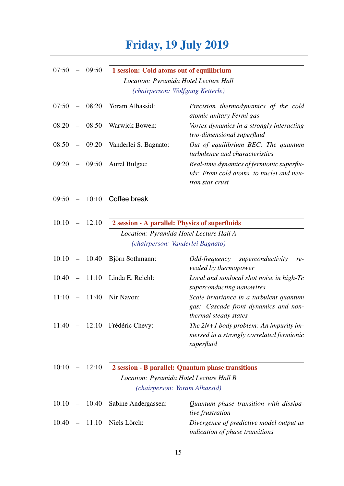#### Friday, 19 July 2019

| 07:50 |                          | 09:50    | 1 session: Cold atoms out of equilibrium       |                                                                                                          |
|-------|--------------------------|----------|------------------------------------------------|----------------------------------------------------------------------------------------------------------|
|       |                          |          |                                                | Location: Pyramida Hotel Lecture Hall                                                                    |
|       |                          |          |                                                | (chairperson: Wolfgang Ketterle)                                                                         |
| 07:50 | $\overline{\phantom{0}}$ | 08:20    | Yoram Alhassid:                                | Precision thermodynamics of the cold<br>atomic unitary Fermi gas                                         |
| 08:20 |                          | 08:50    | <b>Warwick Bowen:</b>                          | Vortex dynamics in a strongly interacting<br>two-dimensional superfluid                                  |
| 08:50 |                          | $-09:20$ | Vanderlei S. Bagnato:                          | Out of equilibrium BEC: The quantum<br>turbulence and characteristics                                    |
| 09:20 |                          | $-09:50$ | Aurel Bulgac:                                  | Real-time dynamics of fermionic superflu-<br>ids: From cold atoms, to nuclei and neu-<br>tron star crust |
| 09:50 | $\overline{\phantom{0}}$ | 10:10    | Coffee break                                   |                                                                                                          |
| 10:10 | $\overline{\phantom{0}}$ | 12:10    | 2 session - A parallel: Physics of superfluids |                                                                                                          |
|       |                          |          |                                                | Location: Pyramida Hotel Lecture Hall A                                                                  |
|       |                          |          |                                                | (chairperson: Vanderlei Bagnato)                                                                         |
| 10:10 | $\sim$ $-$               | 10:40    | Björn Sothmann:                                | <i>Odd-frequency</i><br>superconductivity<br>$re-$<br>vealed by thermopower                              |
| 10:40 |                          | 11:10    | Linda E. Reichl:                               | Local and nonlocal shot noise in high-Tc<br>superconducting nanowires                                    |
| 11:10 | $\overline{\phantom{a}}$ | 11:40    | Nir Navon:                                     | Scale invariance in a turbulent quantum<br>gas: Cascade front dynamics and non-<br>thermal steady states |
| 11:40 |                          |          | - 12:10 Frédéric Chevy:                        | The $2N+1$ body problem: An impurity im-<br>mersed in a strongly correlated fermionic<br>superfluid      |
| 10:10 |                          | 12:10    |                                                | 2 session - B parallel: Quantum phase transitions                                                        |
|       |                          |          |                                                | Location: Pyramida Hotel Lecture Hall B                                                                  |
|       |                          |          |                                                | (chairperson: Yoram Alhassid)                                                                            |
| 10:10 | $\equiv$                 | 10:40    | Sabine Andergassen:                            | Quantum phase transition with dissipa-<br>tive frustration                                               |
| 10:40 |                          | 11:10    | Niels Lörch:                                   | Divergence of predictive model output as<br>indication of phase transitions                              |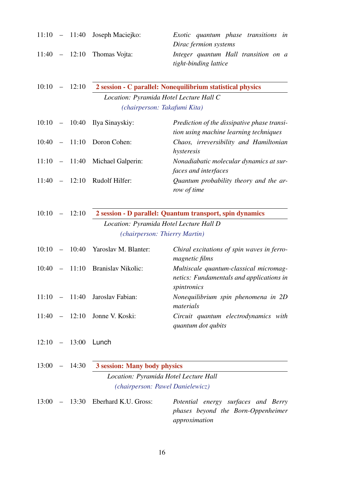|       |                          |                 | $11:10 - 11:40$ Joseph Maciejko:        | Exotic quantum phase transitions in<br>Dirac fermion systems                                      |
|-------|--------------------------|-----------------|-----------------------------------------|---------------------------------------------------------------------------------------------------|
| 11:40 |                          | $-12:10$        | Thomas Vojta:                           | Integer quantum Hall transition on a<br>tight-binding lattice                                     |
| 10:10 |                          | $-12:10$        |                                         | 2 session - C parallel: Nonequilibrium statistical physics                                        |
|       |                          |                 | Location: Pyramida Hotel Lecture Hall C |                                                                                                   |
|       |                          |                 | (chairperson: Takafumi Kita)            |                                                                                                   |
| 10:10 |                          | $-10:40$        | Ilya Sinayskiy:                         | Prediction of the dissipative phase transi-<br>tion using machine learning techniques             |
| 10:40 | $\overline{\phantom{a}}$ | 11:10           | Doron Cohen:                            | Chaos, irreversibility and Hamiltonian<br>hysteresis                                              |
| 11:10 |                          | $-11:40$        | Michael Galperin:                       | Nonadiabatic molecular dynamics at sur-<br>faces and interfaces                                   |
|       |                          | $11:40 - 12:10$ | Rudolf Hilfer:                          | Quantum probability theory and the ar-<br>row of time                                             |
| 10:10 |                          | $-12:10$        |                                         | 2 session - D parallel: Quantum transport, spin dynamics                                          |
|       |                          |                 | Location: Pyramida Hotel Lecture Hall D |                                                                                                   |
|       |                          |                 | (chairperson: Thierry Martin)           |                                                                                                   |
| 10:10 | $\overline{\phantom{m}}$ | 10:40           | Yaroslav M. Blanter:                    | Chiral excitations of spin waves in ferro-<br>magnetic films                                      |
| 10:40 | $\equiv$                 | 11:10           | <b>Branislav Nikolic:</b>               | Multiscale quantum-classical micromag-<br>netics: Fundamentals and applications in<br>spintronics |
|       |                          |                 | $11:10 - 11:40$ Jaroslav Fabian:        | Nonequilibrium spin phenomena in 2D<br>materials                                                  |
|       |                          | $11:40 - 12:10$ | Jonne V. Koski:                         | Circuit quantum electrodynamics with<br>quantum dot qubits                                        |
|       |                          | $12:10 - 13:00$ | Lunch                                   |                                                                                                   |
|       |                          | $13:00 - 14:30$ | 3 session: Many body physics            |                                                                                                   |
|       |                          |                 | Location: Pyramida Hotel Lecture Hall   |                                                                                                   |
|       |                          |                 | (chairperson: Pawel Danielewicz)        |                                                                                                   |
|       |                          |                 | $13:00 - 13:30$ Eberhard K.U. Gross:    | Potential energy surfaces and Berry<br>phases beyond the Born-Oppenheimer<br>approximation        |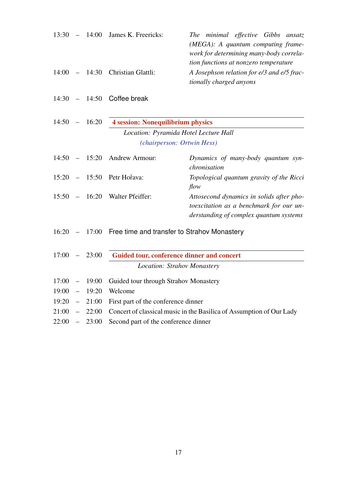| 13:30 | $\overline{\phantom{m}}$ | 14:00 | James K. Freericks:                                                       | The minimal effective Gibbs ansatz<br>(MEGA): A quantum computing frame-<br>work for determining many-body correla-<br>tion functions at nonzero temperature |
|-------|--------------------------|-------|---------------------------------------------------------------------------|--------------------------------------------------------------------------------------------------------------------------------------------------------------|
| 14:00 | $\frac{1}{2}$            | 14:30 | Christian Glattli:                                                        | A Josephson relation for e/3 and e/5 frac-<br>tionally charged anyons                                                                                        |
| 14:30 | $\overline{\phantom{m}}$ | 14:50 | Coffee break                                                              |                                                                                                                                                              |
| 14:50 |                          | 16:20 | <b>4 session: Nonequilibrium physics</b>                                  |                                                                                                                                                              |
|       |                          |       | Location: Pyramida Hotel Lecture Hall                                     |                                                                                                                                                              |
|       |                          |       | (chairperson: Ortwin Hess)                                                |                                                                                                                                                              |
| 14:50 |                          | 15:20 | Andrew Armour:                                                            | Dynamics of many-body quantum syn-<br>chronisation                                                                                                           |
| 15:20 |                          | 15:50 | Petr Hořava:                                                              | Topological quantum gravity of the Ricci<br>flow                                                                                                             |
| 15:50 | $\qquad \qquad -$        | 16:20 | Walter Pfeiffer:                                                          | Attosecond dynamics in solids after pho-<br>to excitation as a benchmark for our un-<br>derstanding of complex quantum systems                               |
| 16:20 |                          | 17:00 | Free time and transfer to Strahov Monastery                               |                                                                                                                                                              |
| 17:00 |                          | 23:00 | Guided tour, conference dinner and concert<br>Location: Strahov Monastery |                                                                                                                                                              |
|       |                          |       |                                                                           |                                                                                                                                                              |
| 17:00 | $\overline{\phantom{m}}$ | 19:00 | Guided tour through Strahov Monastery                                     |                                                                                                                                                              |
| 19:00 | $\overline{\phantom{m}}$ | 19:20 | Welcome                                                                   |                                                                                                                                                              |
| 19:20 | $\equiv$                 | 21:00 | First part of the conference dinner                                       |                                                                                                                                                              |
| 21:00 |                          | 22:00 |                                                                           | Concert of classical music in the Basilica of Assumption of Our Lady                                                                                         |
| 22:00 | $\equiv$                 | 23:00 | Second part of the conference dinner                                      |                                                                                                                                                              |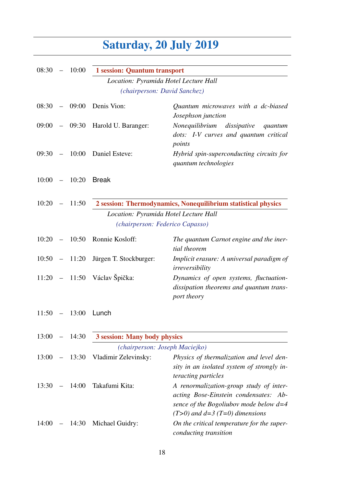## Saturday, 20 July 2019

| 08:30 |                           | $-10:00$        | <b>1</b> session: Quantum transport   |                                                                                                                                                                      |
|-------|---------------------------|-----------------|---------------------------------------|----------------------------------------------------------------------------------------------------------------------------------------------------------------------|
|       |                           |                 | Location: Pyramida Hotel Lecture Hall |                                                                                                                                                                      |
|       |                           |                 | (chairperson: David Sanchez)          |                                                                                                                                                                      |
| 08:30 | $\mathcal{L}=\mathcal{L}$ | 09:00           | Denis Vion:                           | Quantum microwaves with a dc-biased<br>Josephson junction                                                                                                            |
|       |                           |                 | 09:00 - 09:30 Harold U. Baranger:     | Nonequilibrium<br>dissipative<br>quantum<br>dots: I-V curves and quantum critical<br>points                                                                          |
|       |                           |                 | 09:30 - 10:00 Daniel Esteve:          | Hybrid spin-superconducting circuits for<br>quantum technologies                                                                                                     |
|       |                           | $10:00 - 10:20$ | <b>Break</b>                          |                                                                                                                                                                      |
| 10:20 |                           | $-11:50$        |                                       | 2 session: Thermodynamics, Nonequilibrium statistical physics                                                                                                        |
|       |                           |                 | Location: Pyramida Hotel Lecture Hall |                                                                                                                                                                      |
|       |                           |                 | (chairperson: Federico Capasso)       |                                                                                                                                                                      |
| 10:20 |                           | $-10:50$        | Ronnie Kosloff:                       | The quantum Carnot engine and the iner-<br>tial theorem                                                                                                              |
|       |                           | $10:50 - 11:20$ | Jürgen T. Stockburger:                | Implicit erasure: A universal paradigm of<br>irreversibility                                                                                                         |
|       |                           |                 | 11:20 – 11:50 Václav Špička:          | Dynamics of open systems, fluctuation-<br>dissipation theorems and quantum trans-<br>port theory                                                                     |
| 11:50 | $\overline{\phantom{m}}$  | 13:00           | Lunch                                 |                                                                                                                                                                      |
| 13:00 |                           | 14:30           | 3 session: Many body physics          |                                                                                                                                                                      |
|       |                           |                 | (chairperson: Joseph Maciejko)        |                                                                                                                                                                      |
| 13:00 |                           | $-13:30$        | Vladimir Zelevinsky:                  | Physics of thermalization and level den-<br>sity in an isolated system of strongly in-<br>teracting particles                                                        |
| 13:30 |                           | $-14:00$        | Takafumi Kita:                        | A renormalization-group study of inter-<br>acting Bose-Einstein condensates: Ab-<br>sence of the Bogoliubov mode below $d=4$<br>$(T>0)$ and $d=3$ $(T=0)$ dimensions |
| 14:00 |                           | $-14:30$        | Michael Guidry:                       | On the critical temperature for the super-<br>conducting transition                                                                                                  |